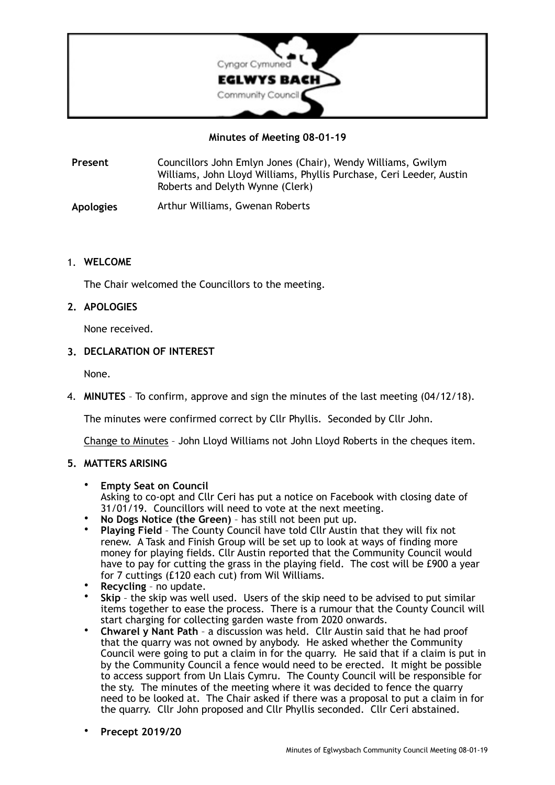

# **Minutes of Meeting 08-01-19**

**Present** Councillors John Emlyn Jones (Chair), Wendy Williams, Gwilym Williams, John Lloyd Williams, Phyllis Purchase, Ceri Leeder, Austin Roberts and Delyth Wynne (Clerk)

**Apologies** Arthur Williams, Gwenan Roberts

## 1. **WELCOME**

The Chair welcomed the Councillors to the meeting.

# **2. APOLOGIES**

None received.

## **3. DECLARATION OF INTEREST**

None.

4. **MINUTES** – To confirm, approve and sign the minutes of the last meeting (04/12/18).

The minutes were confirmed correct by Cllr Phyllis. Seconded by Cllr John.

Change to Minutes – John Lloyd Williams not John Lloyd Roberts in the cheques item.

# **5. MATTERS ARISING**

- **Empty Seat on Council**  Asking to co-opt and Cllr Ceri has put a notice on Facebook with closing date of 31/01/19. Councillors will need to vote at the next meeting.
- **No Dogs Notice (the Green)** has still not been put up.
- **Playing Field** The County Council have told Cllr Austin that they will fix not renew. A Task and Finish Group will be set up to look at ways of finding more money for playing fields. Cllr Austin reported that the Community Council would have to pay for cutting the grass in the playing field. The cost will be £900 a year for 7 cuttings (£120 each cut) from Wil Williams.
- **Recycling**  no update.
- **Skip** the skip was well used. Users of the skip need to be advised to put similar items together to ease the process. There is a rumour that the County Council will start charging for collecting garden waste from 2020 onwards.
- **Chwarel y Nant Path** a discussion was held. Cllr Austin said that he had proof that the quarry was not owned by anybody. He asked whether the Community Council were going to put a claim in for the quarry. He said that if a claim is put in by the Community Council a fence would need to be erected. It might be possible to access support from Un Llais Cymru. The County Council will be responsible for the sty. The minutes of the meeting where it was decided to fence the quarry need to be looked at. The Chair asked if there was a proposal to put a claim in for the quarry. Cllr John proposed and Cllr Phyllis seconded. Cllr Ceri abstained.
- **Precept 2019/20**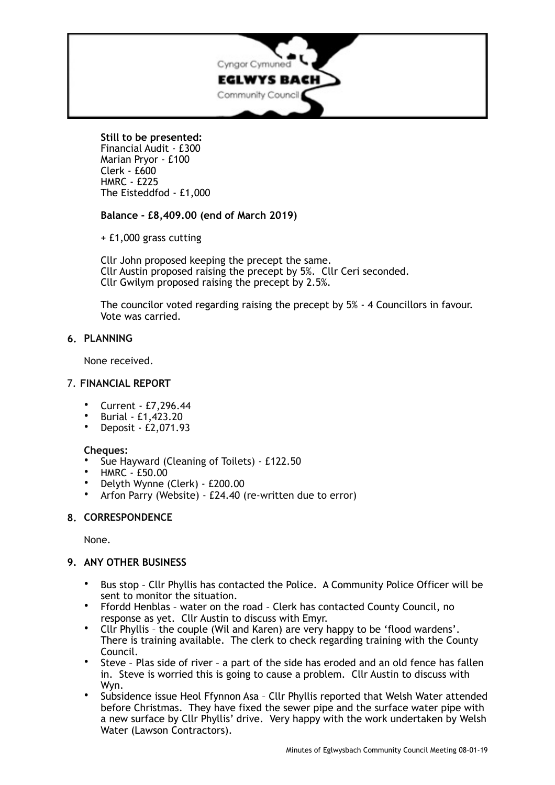

# **Still to be presented:**

Financial Audit - £300 Marian Pryor - £100  $C$ lerk -  $f600$ HMRC - £225 The Eisteddfod - £1,000

**Balance - £8,409.00 (end of March 2019)** 

+ £1,000 grass cutting

Cllr John proposed keeping the precept the same. Cllr Austin proposed raising the precept by 5%. Cllr Ceri seconded. Cllr Gwilym proposed raising the precept by 2.5%.

The councilor voted regarding raising the precept by 5% - 4 Councillors in favour. Vote was carried.

# **6. PLANNING**

None received.

# 7. **FINANCIAL REPORT**

- Current £7,296.44
- Burial £1,423.20
- Deposit £2,071.93

# **Cheques:**

- Sue Hayward (Cleaning of Toilets) £122.50
- HMRC £50.00
- Delyth Wynne (Clerk) £200.00
- Arfon Parry (Website) £24.40 (re-written due to error)

# **8. CORRESPONDENCE**

None.

# **9. ANY OTHER BUSINESS**

- Bus stop Cllr Phyllis has contacted the Police. A Community Police Officer will be sent to monitor the situation.
- Ffordd Henblas water on the road Clerk has contacted County Council, no response as yet. Cllr Austin to discuss with Emyr.
- Cllr Phyllis the couple (Wil and Karen) are very happy to be 'flood wardens'. There is training available. The clerk to check regarding training with the County Council.
- Steve Plas side of river a part of the side has eroded and an old fence has fallen in. Steve is worried this is going to cause a problem. Cllr Austin to discuss with Wyn.
- Subsidence issue Heol Ffynnon Asa Cllr Phyllis reported that Welsh Water attended before Christmas. They have fixed the sewer pipe and the surface water pipe with a new surface by Cllr Phyllis' drive. Very happy with the work undertaken by Welsh Water (Lawson Contractors).